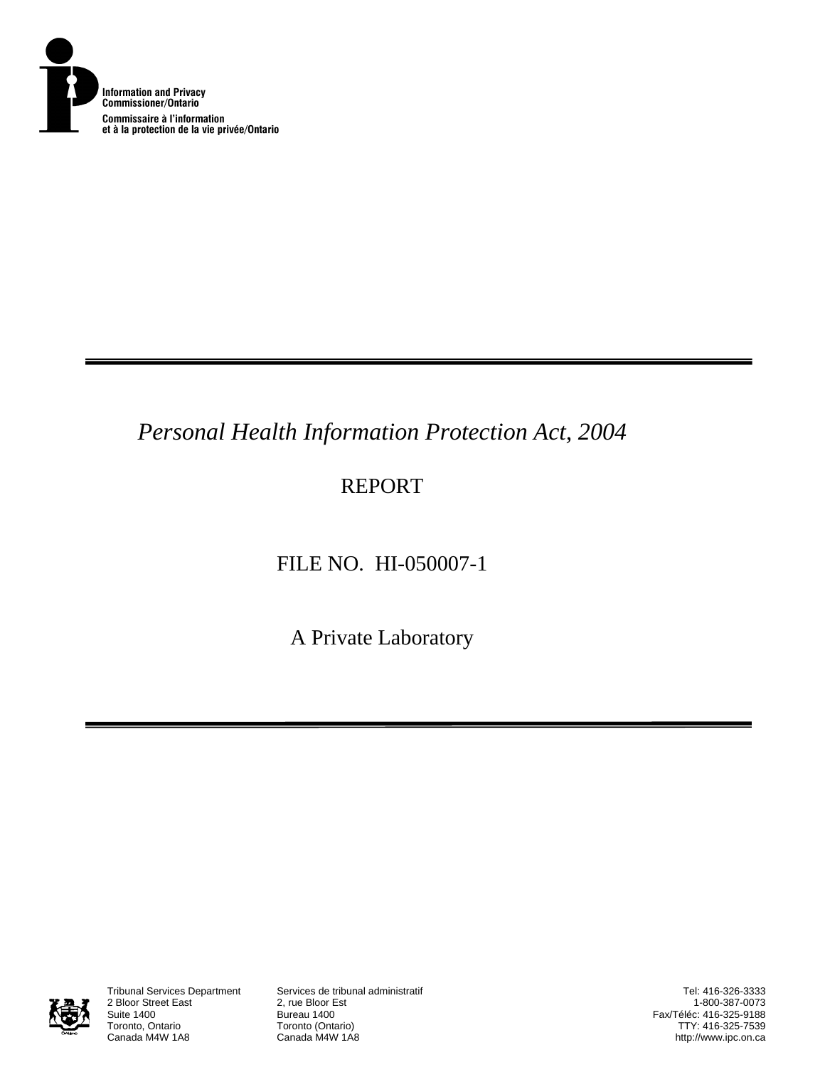

# *Personal Health Information Protection Act, 2004*

## REPORT

## FILE NO. HI-050007-1

A Private Laboratory



2 Bloor Street East<br>Suite 1400 Suite 1400<br>Toronto, Ontario **Bureau 1400**<br>Toronto (Onta Toronto, Ontario **Toronto (Ontario)**<br>Canada M4W 1A8 **Canada M4W 1A8** 

Tribunal Services Department Services de tribunal administratif

Tel: 416-326-3333 1-800-387-0073 Fax/Téléc: 416-325-9188 TTY: 416-325-7539 http://www.ipc.on.ca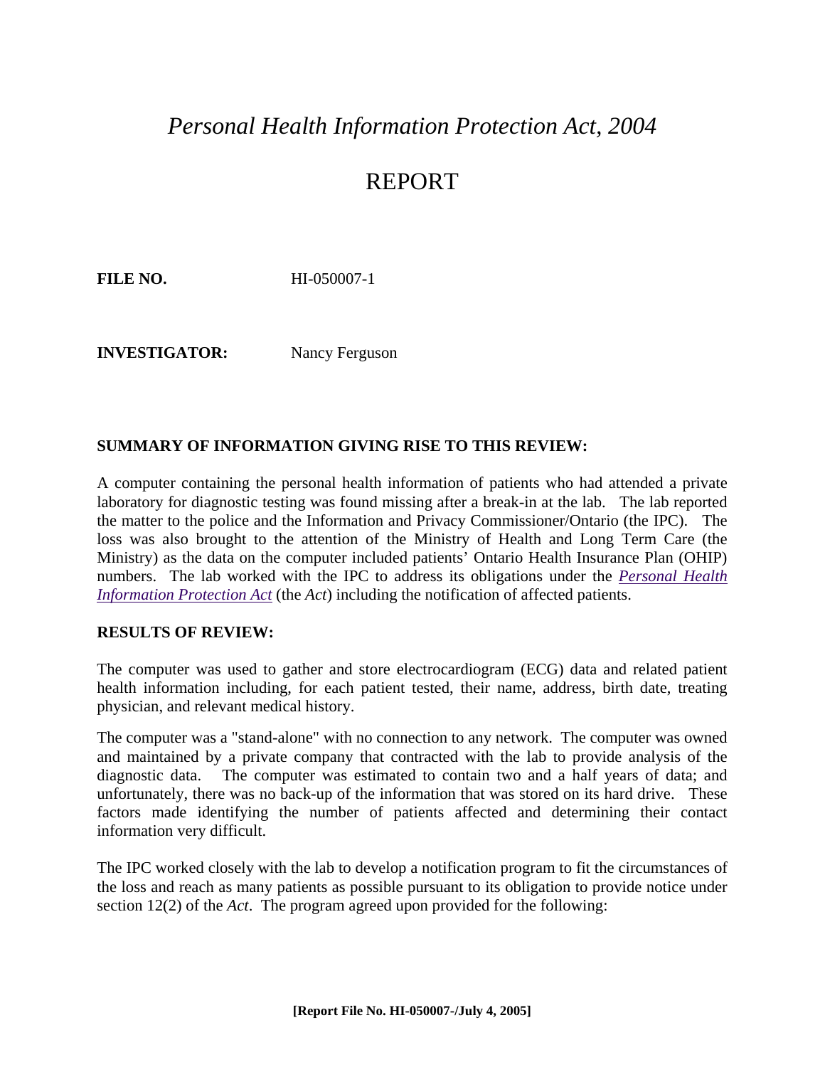### *Personal Health Information Protection Act, 2004*

### REPORT

**FILE NO.** HI-050007-1

**INVESTIGATOR:** Nancy Ferguson

#### **SUMMARY OF INFORMATION GIVING RISE TO THIS REVIEW:**

A computer containing the personal health information of patients who had attended a private laboratory for diagnostic testing was found missing after a break-in at the lab. The lab reported the matter to the police and the Information and Privacy Commissioner/Ontario (the IPC). The loss was also brought to the attention of the Ministry of Health and Long Term Care (the Ministry) as the data on the computer included patients' Ontario Health Insurance Plan (OHIP) numbers. The lab worked with the IPC to address its obligations under the *[Personal Health](http://www.e-laws.gov.on.ca/DBLaws/Statutes/English/04p03_e.htm)  [Information Protection Act](http://www.e-laws.gov.on.ca/DBLaws/Statutes/English/04p03_e.htm)* (the *Act*) including the notification of affected patients.

#### **RESULTS OF REVIEW:**

The computer was used to gather and store electrocardiogram (ECG) data and related patient health information including, for each patient tested, their name, address, birth date, treating physician, and relevant medical history.

The computer was a "stand-alone" with no connection to any network. The computer was owned and maintained by a private company that contracted with the lab to provide analysis of the diagnostic data. The computer was estimated to contain two and a half years of data; and unfortunately, there was no back-up of the information that was stored on its hard drive. These factors made identifying the number of patients affected and determining their contact information very difficult.

The IPC worked closely with the lab to develop a notification program to fit the circumstances of the loss and reach as many patients as possible pursuant to its obligation to provide notice under section 12(2) of the *Act*. The program agreed upon provided for the following: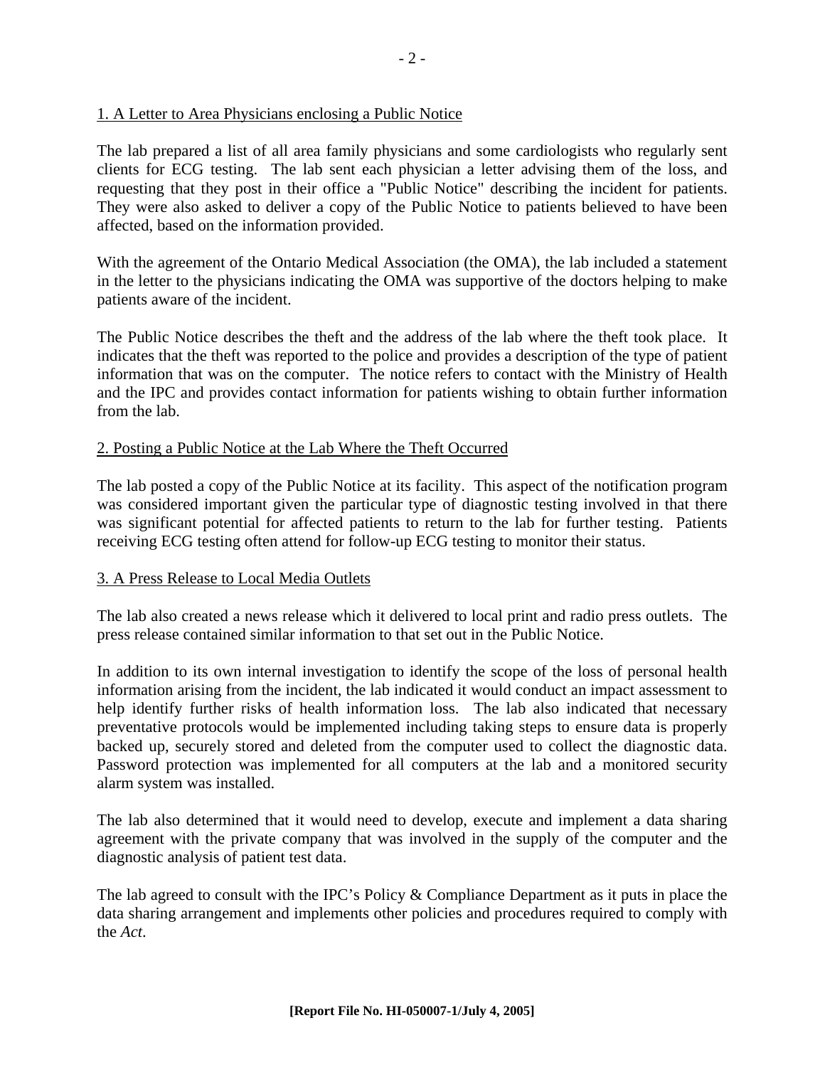#### 1. A Letter to Area Physicians enclosing a Public Notice

The lab prepared a list of all area family physicians and some cardiologists who regularly sent clients for ECG testing. The lab sent each physician a letter advising them of the loss, and requesting that they post in their office a "Public Notice" describing the incident for patients. They were also asked to deliver a copy of the Public Notice to patients believed to have been affected, based on the information provided.

With the agreement of the Ontario Medical Association (the OMA), the lab included a statement in the letter to the physicians indicating the OMA was supportive of the doctors helping to make patients aware of the incident.

The Public Notice describes the theft and the address of the lab where the theft took place. It indicates that the theft was reported to the police and provides a description of the type of patient information that was on the computer. The notice refers to contact with the Ministry of Health and the IPC and provides contact information for patients wishing to obtain further information from the lab.

#### 2. Posting a Public Notice at the Lab Where the Theft Occurred

The lab posted a copy of the Public Notice at its facility. This aspect of the notification program was considered important given the particular type of diagnostic testing involved in that there was significant potential for affected patients to return to the lab for further testing. Patients receiving ECG testing often attend for follow-up ECG testing to monitor their status.

#### 3. A Press Release to Local Media Outlets

The lab also created a news release which it delivered to local print and radio press outlets. The press release contained similar information to that set out in the Public Notice.

In addition to its own internal investigation to identify the scope of the loss of personal health information arising from the incident, the lab indicated it would conduct an impact assessment to help identify further risks of health information loss. The lab also indicated that necessary preventative protocols would be implemented including taking steps to ensure data is properly backed up, securely stored and deleted from the computer used to collect the diagnostic data. Password protection was implemented for all computers at the lab and a monitored security alarm system was installed.

The lab also determined that it would need to develop, execute and implement a data sharing agreement with the private company that was involved in the supply of the computer and the diagnostic analysis of patient test data.

The lab agreed to consult with the IPC's Policy & Compliance Department as it puts in place the data sharing arrangement and implements other policies and procedures required to comply with the *Act*.